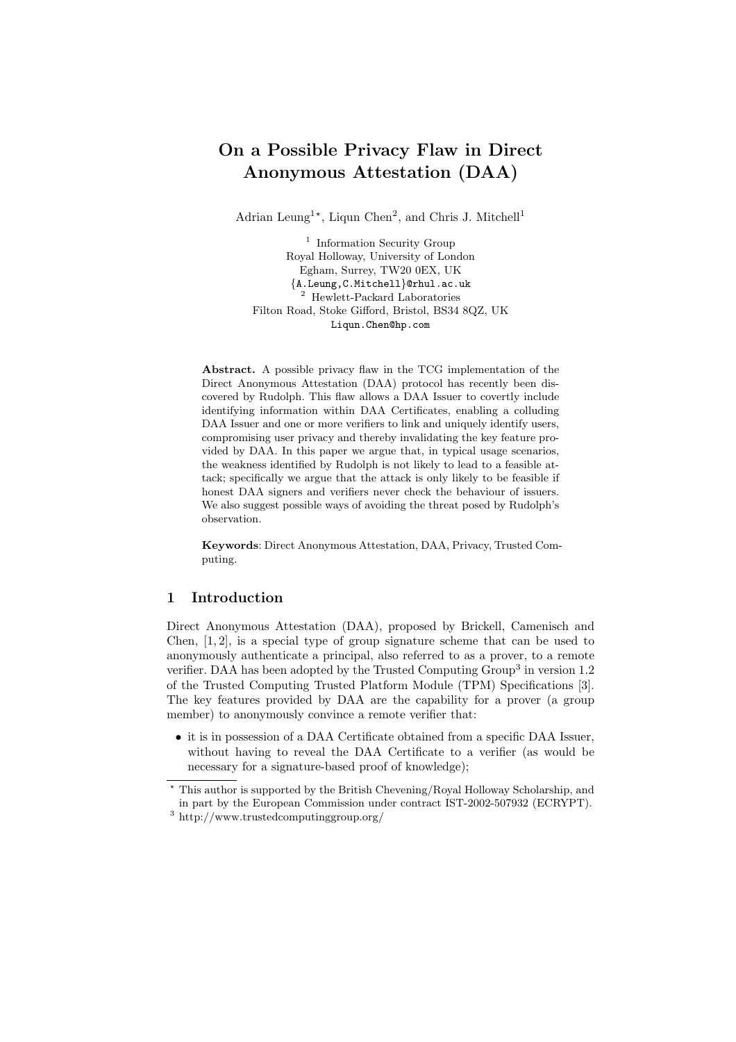# On a Possible Privacy Flaw in Direct Anonymous Attestation (DAA)

Adrian Leung<sup>1\*</sup>, Liqun Chen<sup>2</sup>, and Chris J. Mitchell<sup>1</sup>

<sup>1</sup> Information Security Group Royal Holloway, University of London Egham, Surrey, TW20 0EX, UK {A.Leung,C.Mitchell}@rhul.ac.uk <sup>2</sup> Hewlett-Packard Laboratories Filton Road, Stoke Gifford, Bristol, BS34 8QZ, UK Liqun.Chen@hp.com

Abstract. A possible privacy flaw in the TCG implementation of the Direct Anonymous Attestation (DAA) protocol has recently been discovered by Rudolph. This flaw allows a DAA Issuer to covertly include identifying information within DAA Certificates, enabling a colluding DAA Issuer and one or more verifiers to link and uniquely identify users, compromising user privacy and thereby invalidating the key feature provided by DAA. In this paper we argue that, in typical usage scenarios, the weakness identified by Rudolph is not likely to lead to a feasible attack; specifically we argue that the attack is only likely to be feasible if honest DAA signers and verifiers never check the behaviour of issuers. We also suggest possible ways of avoiding the threat posed by Rudolph's observation.

Keywords: Direct Anonymous Attestation, DAA, Privacy, Trusted Computing.

# 1 Introduction

Direct Anonymous Attestation (DAA), proposed by Brickell, Camenisch and Chen, [1, 2], is a special type of group signature scheme that can be used to anonymously authenticate a principal, also referred to as a prover, to a remote verifier. DAA has been adopted by the Trusted Computing Group<sup>3</sup> in version 1.2 of the Trusted Computing Trusted Platform Module (TPM) Specifications [3]. The key features provided by DAA are the capability for a prover (a group member) to anonymously convince a remote verifier that:

• it is in possession of a DAA Certificate obtained from a specific DAA Issuer, without having to reveal the DAA Certificate to a verifier (as would be necessary for a signature-based proof of knowledge);

<sup>?</sup> This author is supported by the British Chevening/Royal Holloway Scholarship, and in part by the European Commission under contract IST-2002-507932 (ECRYPT).

<sup>3</sup> http://www.trustedcomputinggroup.org/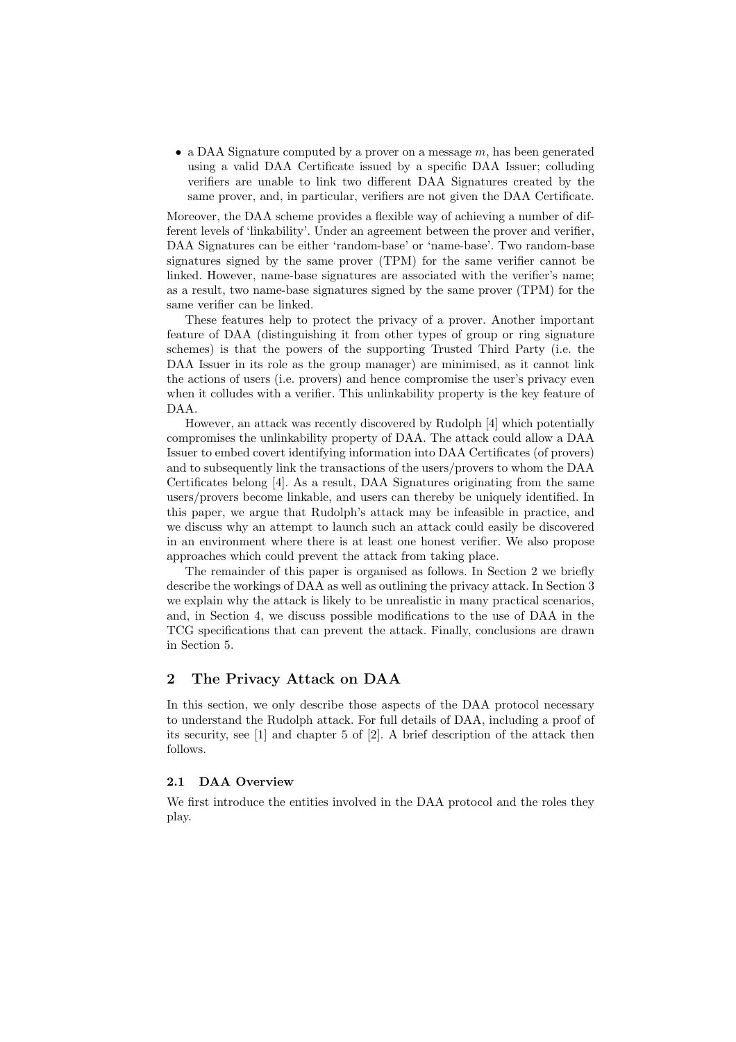• a DAA Signature computed by a prover on a message  $m$ , has been generated using a valid DAA Certificate issued by a specific DAA Issuer; colluding verifiers are unable to link two different DAA Signatures created by the same prover, and, in particular, verifiers are not given the DAA Certificate.

Moreover, the DAA scheme provides a flexible way of achieving a number of different levels of 'linkability'. Under an agreement between the prover and verifier, DAA Signatures can be either 'random-base' or 'name-base'. Two random-base signatures signed by the same prover (TPM) for the same verifier cannot be linked. However, name-base signatures are associated with the verifier's name; as a result, two name-base signatures signed by the same prover (TPM) for the same verifier can be linked.

These features help to protect the privacy of a prover. Another important feature of DAA (distinguishing it from other types of group or ring signature schemes) is that the powers of the supporting Trusted Third Party (i.e. the DAA Issuer in its role as the group manager) are minimised, as it cannot link the actions of users (i.e. provers) and hence compromise the user's privacy even when it colludes with a verifier. This unlinkability property is the key feature of DAA.

However, an attack was recently discovered by Rudolph [4] which potentially compromises the unlinkability property of DAA. The attack could allow a DAA Issuer to embed covert identifying information into DAA Certificates (of provers) and to subsequently link the transactions of the users/provers to whom the DAA Certificates belong [4]. As a result, DAA Signatures originating from the same users/provers become linkable, and users can thereby be uniquely identified. In this paper, we argue that Rudolph's attack may be infeasible in practice, and we discuss why an attempt to launch such an attack could easily be discovered in an environment where there is at least one honest verifier. We also propose approaches which could prevent the attack from taking place.

The remainder of this paper is organised as follows. In Section 2 we briefly describe the workings of DAA as well as outlining the privacy attack. In Section 3 we explain why the attack is likely to be unrealistic in many practical scenarios, and, in Section 4, we discuss possible modifications to the use of DAA in the TCG specifications that can prevent the attack. Finally, conclusions are drawn in Section 5.

# 2 The Privacy Attack on DAA

In this section, we only describe those aspects of the DAA protocol necessary to understand the Rudolph attack. For full details of DAA, including a proof of its security, see [1] and chapter 5 of [2]. A brief description of the attack then follows.

## 2.1 DAA Overview

We first introduce the entities involved in the DAA protocol and the roles they play.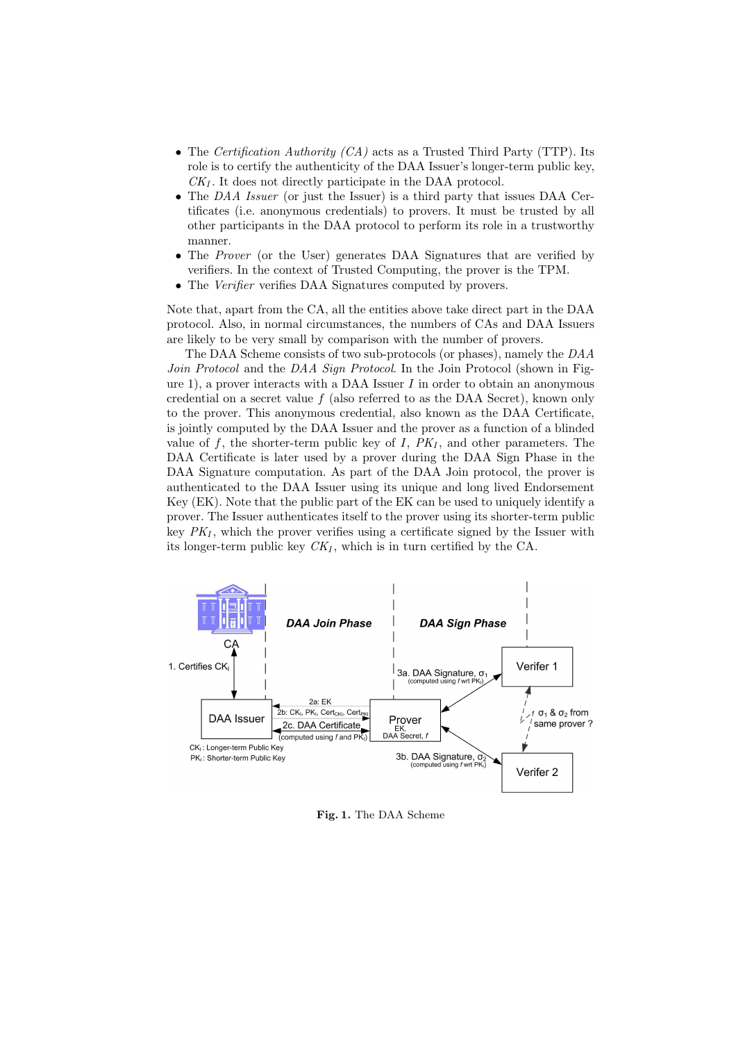- The Certification Authority  $(CA)$  acts as a Trusted Third Party (TTP). Its role is to certify the authenticity of the DAA Issuer's longer-term public key,  $CK_I$ . It does not directly participate in the DAA protocol.
- The DAA Issuer (or just the Issuer) is a third party that issues DAA Certificates (i.e. anonymous credentials) to provers. It must be trusted by all other participants in the DAA protocol to perform its role in a trustworthy manner.
- The *Prover* (or the User) generates DAA Signatures that are verified by verifiers. In the context of Trusted Computing, the prover is the TPM.
- The Verifier verifies DAA Signatures computed by provers.

Note that, apart from the CA, all the entities above take direct part in the DAA protocol. Also, in normal circumstances, the numbers of CAs and DAA Issuers are likely to be very small by comparison with the number of provers.

The DAA Scheme consists of two sub-protocols (or phases), namely the DAA Join Protocol and the DAA Sign Protocol. In the Join Protocol (shown in Figure 1), a prover interacts with a DAA Issuer  $I$  in order to obtain an anonymous credential on a secret value  $f$  (also referred to as the DAA Secret), known only to the prover. This anonymous credential, also known as the DAA Certificate, is jointly computed by the DAA Issuer and the prover as a function of a blinded value of f, the shorter-term public key of  $I$ ,  $PK_I$ , and other parameters. The DAA Certificate is later used by a prover during the DAA Sign Phase in the DAA Signature computation. As part of the DAA Join protocol, the prover is authenticated to the DAA Issuer using its unique and long lived Endorsement Key (EK). Note that the public part of the EK can be used to uniquely identify a prover. The Issuer authenticates itself to the prover using its shorter-term public key  $PK<sub>I</sub>$ , which the prover verifies using a certificate signed by the Issuer with its longer-term public key  $CK_I$ , which is in turn certified by the CA.



Fig. 1. The DAA Scheme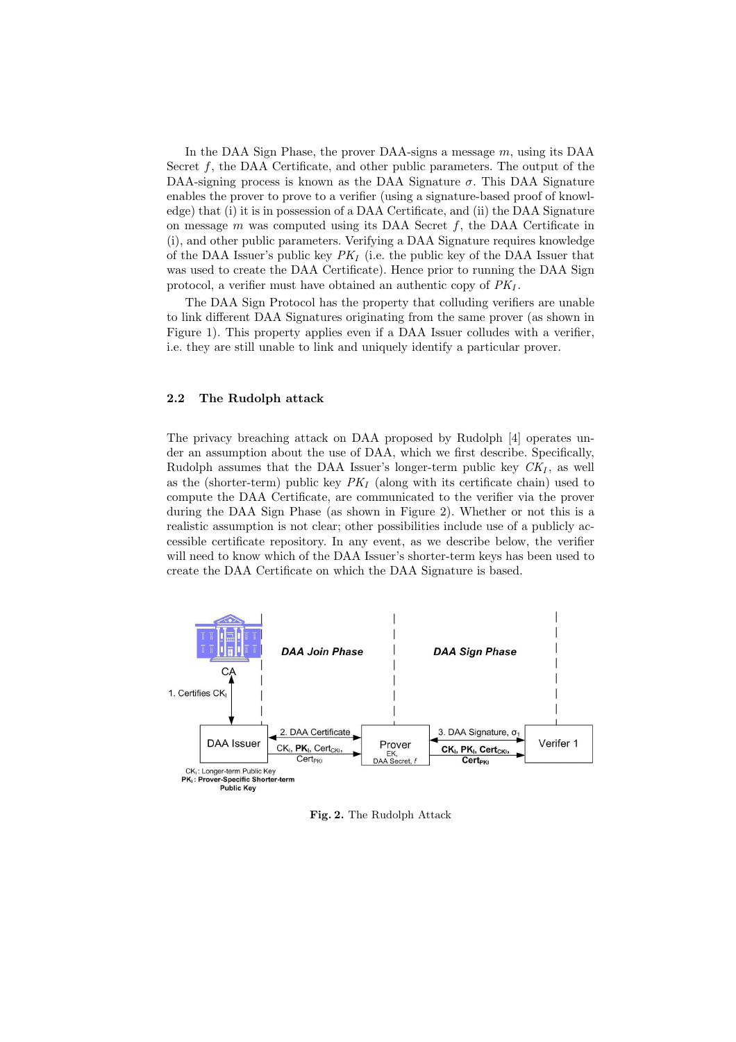In the DAA Sign Phase, the prover DAA-signs a message m, using its DAA Secret  $f$ , the DAA Certificate, and other public parameters. The output of the DAA-signing process is known as the DAA Signature  $\sigma$ . This DAA Signature enables the prover to prove to a verifier (using a signature-based proof of knowledge) that (i) it is in possession of a DAA Certificate, and (ii) the DAA Signature on message  $m$  was computed using its DAA Secret  $f$ , the DAA Certificate in (i), and other public parameters. Verifying a DAA Signature requires knowledge of the DAA Issuer's public key  $PK_I$  (i.e. the public key of the DAA Issuer that was used to create the DAA Certificate). Hence prior to running the DAA Sign protocol, a verifier must have obtained an authentic copy of  $PK_I$ .

The DAA Sign Protocol has the property that colluding verifiers are unable to link different DAA Signatures originating from the same prover (as shown in Figure 1). This property applies even if a DAA Issuer colludes with a verifier, i.e. they are still unable to link and uniquely identify a particular prover.

## 2.2 The Rudolph attack

The privacy breaching attack on DAA proposed by Rudolph [4] operates under an assumption about the use of DAA, which we first describe. Specifically, Rudolph assumes that the DAA Issuer's longer-term public key  $CK_I$ , as well as the (shorter-term) public key  $PK_I$  (along with its certificate chain) used to compute the DAA Certificate, are communicated to the verifier via the prover during the DAA Sign Phase (as shown in Figure 2). Whether or not this is a realistic assumption is not clear; other possibilities include use of a publicly accessible certificate repository. In any event, as we describe below, the verifier will need to know which of the DAA Issuer's shorter-term keys has been used to create the DAA Certificate on which the DAA Signature is based.



Fig. 2. The Rudolph Attack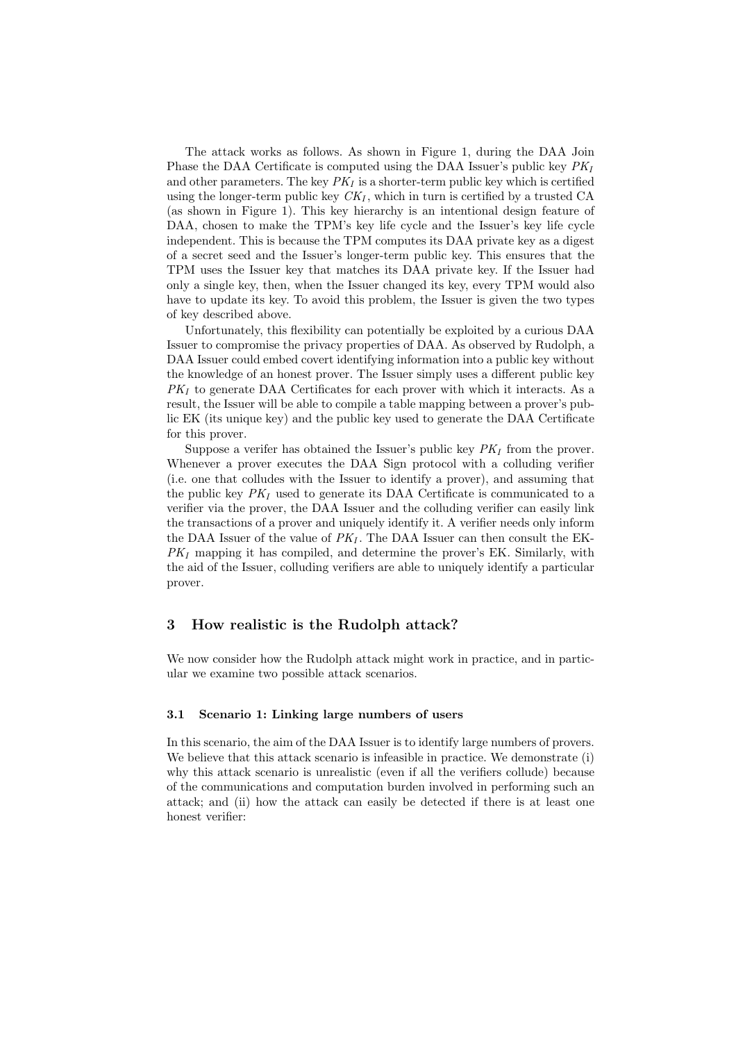The attack works as follows. As shown in Figure 1, during the DAA Join Phase the DAA Certificate is computed using the DAA Issuer's public key  $PK_I$ and other parameters. The key  $PK_I$  is a shorter-term public key which is certified using the longer-term public key  $CK_I$ , which in turn is certified by a trusted CA (as shown in Figure 1). This key hierarchy is an intentional design feature of DAA, chosen to make the TPM's key life cycle and the Issuer's key life cycle independent. This is because the TPM computes its DAA private key as a digest of a secret seed and the Issuer's longer-term public key. This ensures that the TPM uses the Issuer key that matches its DAA private key. If the Issuer had only a single key, then, when the Issuer changed its key, every TPM would also have to update its key. To avoid this problem, the Issuer is given the two types of key described above.

Unfortunately, this flexibility can potentially be exploited by a curious DAA Issuer to compromise the privacy properties of DAA. As observed by Rudolph, a DAA Issuer could embed covert identifying information into a public key without the knowledge of an honest prover. The Issuer simply uses a different public key  $PK<sub>I</sub>$  to generate DAA Certificates for each prover with which it interacts. As a result, the Issuer will be able to compile a table mapping between a prover's public EK (its unique key) and the public key used to generate the DAA Certificate for this prover.

Suppose a verifer has obtained the Issuer's public key  $PK_I$  from the prover. Whenever a prover executes the DAA Sign protocol with a colluding verifier (i.e. one that colludes with the Issuer to identify a prover), and assuming that the public key  $PK_I$  used to generate its DAA Certificate is communicated to a verifier via the prover, the DAA Issuer and the colluding verifier can easily link the transactions of a prover and uniquely identify it. A verifier needs only inform the DAA Issuer of the value of  $PK_I$ . The DAA Issuer can then consult the EK- $PK_I$  mapping it has compiled, and determine the prover's EK. Similarly, with the aid of the Issuer, colluding verifiers are able to uniquely identify a particular prover.

# 3 How realistic is the Rudolph attack?

We now consider how the Rudolph attack might work in practice, and in particular we examine two possible attack scenarios.

#### 3.1 Scenario 1: Linking large numbers of users

In this scenario, the aim of the DAA Issuer is to identify large numbers of provers. We believe that this attack scenario is infeasible in practice. We demonstrate (i) why this attack scenario is unrealistic (even if all the verifiers collude) because of the communications and computation burden involved in performing such an attack; and (ii) how the attack can easily be detected if there is at least one honest verifier: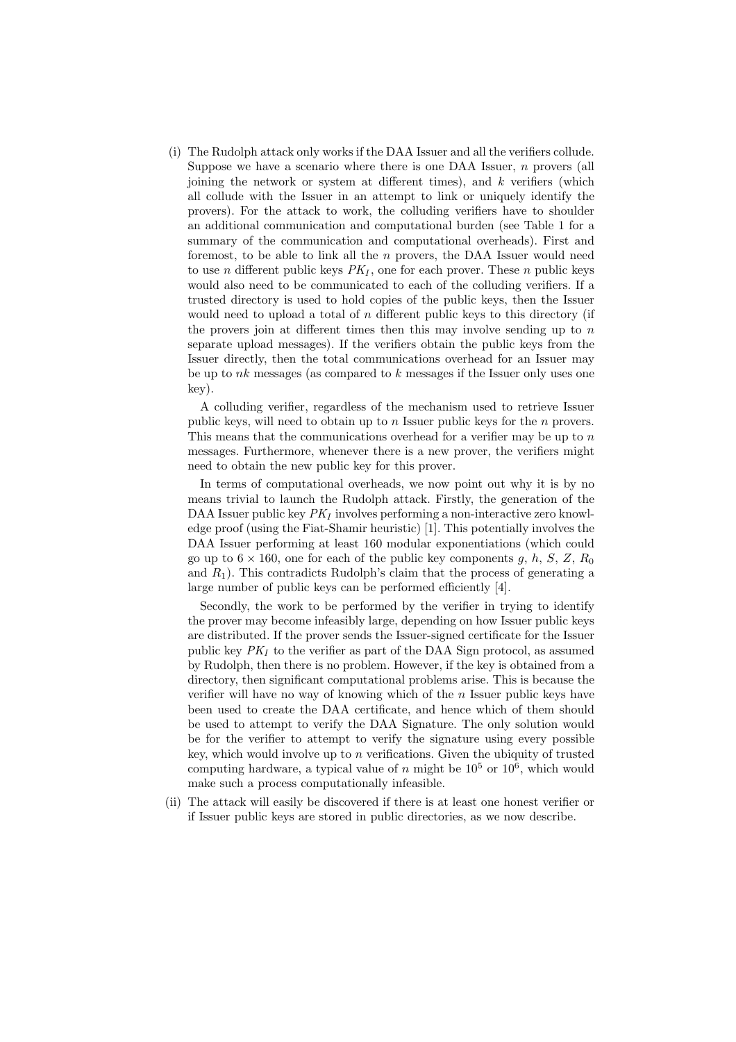(i) The Rudolph attack only works if the DAA Issuer and all the verifiers collude. Suppose we have a scenario where there is one DAA Issuer,  $n$  provers (all joining the network or system at different times), and  $k$  verifiers (which all collude with the Issuer in an attempt to link or uniquely identify the provers). For the attack to work, the colluding verifiers have to shoulder an additional communication and computational burden (see Table 1 for a summary of the communication and computational overheads). First and foremost, to be able to link all the  $n$  provers, the DAA Issuer would need to use *n* different public keys  $PK_I$ , one for each prover. These *n* public keys would also need to be communicated to each of the colluding verifiers. If a trusted directory is used to hold copies of the public keys, then the Issuer would need to upload a total of n different public keys to this directory (if the provers join at different times then this may involve sending up to  $n$ separate upload messages). If the verifiers obtain the public keys from the Issuer directly, then the total communications overhead for an Issuer may be up to  $nk$  messages (as compared to k messages if the Issuer only uses one key).

A colluding verifier, regardless of the mechanism used to retrieve Issuer public keys, will need to obtain up to  $n$  Issuer public keys for the  $n$  provers. This means that the communications overhead for a verifier may be up to n messages. Furthermore, whenever there is a new prover, the verifiers might need to obtain the new public key for this prover.

In terms of computational overheads, we now point out why it is by no means trivial to launch the Rudolph attack. Firstly, the generation of the DAA Issuer public key  $PK_I$  involves performing a non-interactive zero knowledge proof (using the Fiat-Shamir heuristic) [1]. This potentially involves the DAA Issuer performing at least 160 modular exponentiations (which could go up to  $6 \times 160$ , one for each of the public key components g, h, S, Z, R<sub>0</sub> and  $R_1$ ). This contradicts Rudolph's claim that the process of generating a large number of public keys can be performed efficiently [4].

Secondly, the work to be performed by the verifier in trying to identify the prover may become infeasibly large, depending on how Issuer public keys are distributed. If the prover sends the Issuer-signed certificate for the Issuer public key  $PK_I$  to the verifier as part of the DAA Sign protocol, as assumed by Rudolph, then there is no problem. However, if the key is obtained from a directory, then significant computational problems arise. This is because the verifier will have no way of knowing which of the  $n$  Issuer public keys have been used to create the DAA certificate, and hence which of them should be used to attempt to verify the DAA Signature. The only solution would be for the verifier to attempt to verify the signature using every possible key, which would involve up to  $n$  verifications. Given the ubiquity of trusted computing hardware, a typical value of n might be  $10^5$  or  $10^6$ , which would make such a process computationally infeasible.

(ii) The attack will easily be discovered if there is at least one honest verifier or if Issuer public keys are stored in public directories, as we now describe.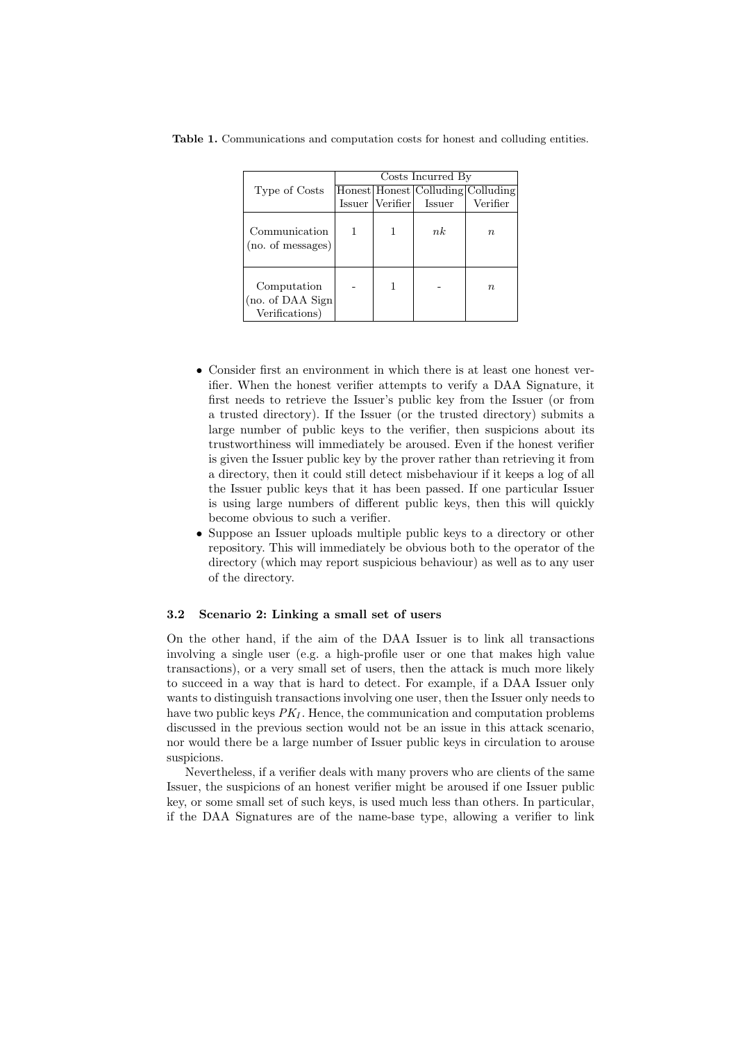|                                                   | Costs Incurred By |                   |               |                                         |  |  |  |
|---------------------------------------------------|-------------------|-------------------|---------------|-----------------------------------------|--|--|--|
| Type of Costs                                     |                   |                   |               | Honest   Honest   Colluding   Colluding |  |  |  |
|                                                   |                   | Issuer   Verifier | <b>Issuer</b> | Verifier                                |  |  |  |
| Communication<br>(no. of messages)                |                   |                   | nk            | $\boldsymbol{n}$                        |  |  |  |
| Computation<br>(no. of DAA Sign<br>Verifications) |                   |                   |               | $\boldsymbol{n}$                        |  |  |  |

Table 1. Communications and computation costs for honest and colluding entities.

- Consider first an environment in which there is at least one honest verifier. When the honest verifier attempts to verify a DAA Signature, it first needs to retrieve the Issuer's public key from the Issuer (or from a trusted directory). If the Issuer (or the trusted directory) submits a large number of public keys to the verifier, then suspicions about its trustworthiness will immediately be aroused. Even if the honest verifier is given the Issuer public key by the prover rather than retrieving it from a directory, then it could still detect misbehaviour if it keeps a log of all the Issuer public keys that it has been passed. If one particular Issuer is using large numbers of different public keys, then this will quickly become obvious to such a verifier.
- Suppose an Issuer uploads multiple public keys to a directory or other repository. This will immediately be obvious both to the operator of the directory (which may report suspicious behaviour) as well as to any user of the directory.

## 3.2 Scenario 2: Linking a small set of users

On the other hand, if the aim of the DAA Issuer is to link all transactions involving a single user (e.g. a high-profile user or one that makes high value transactions), or a very small set of users, then the attack is much more likely to succeed in a way that is hard to detect. For example, if a DAA Issuer only wants to distinguish transactions involving one user, then the Issuer only needs to have two public keys  $PK_I$ . Hence, the communication and computation problems discussed in the previous section would not be an issue in this attack scenario, nor would there be a large number of Issuer public keys in circulation to arouse suspicions.

Nevertheless, if a verifier deals with many provers who are clients of the same Issuer, the suspicions of an honest verifier might be aroused if one Issuer public key, or some small set of such keys, is used much less than others. In particular, if the DAA Signatures are of the name-base type, allowing a verifier to link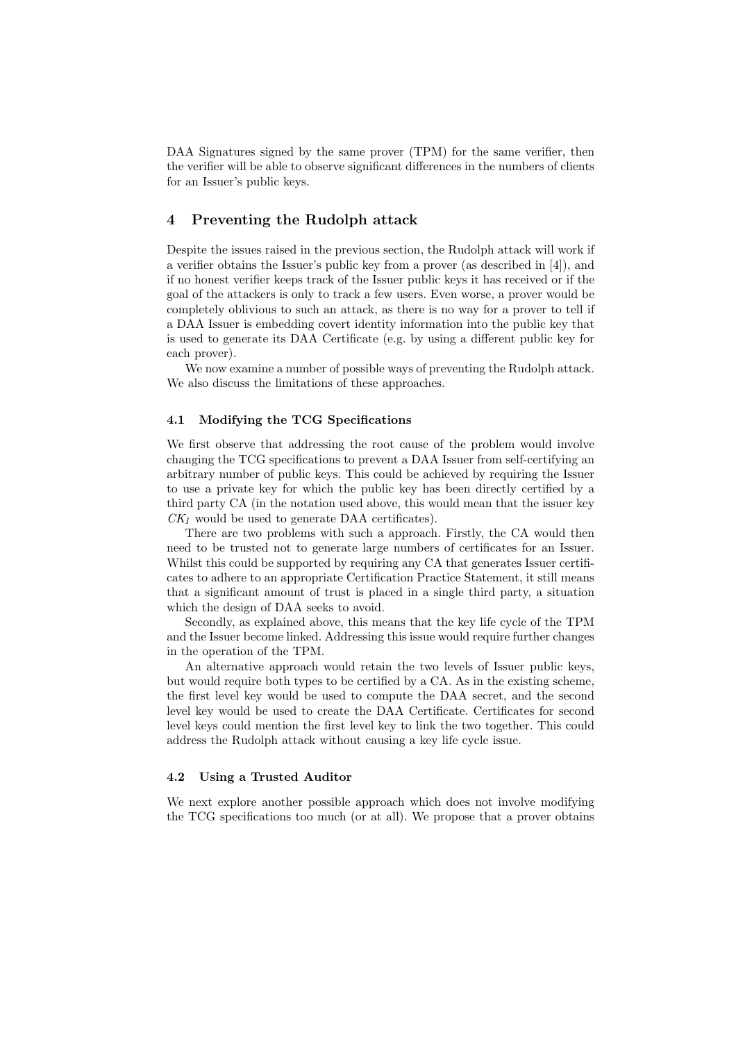DAA Signatures signed by the same prover (TPM) for the same verifier, then the verifier will be able to observe significant differences in the numbers of clients for an Issuer's public keys.

# 4 Preventing the Rudolph attack

Despite the issues raised in the previous section, the Rudolph attack will work if a verifier obtains the Issuer's public key from a prover (as described in [4]), and if no honest verifier keeps track of the Issuer public keys it has received or if the goal of the attackers is only to track a few users. Even worse, a prover would be completely oblivious to such an attack, as there is no way for a prover to tell if a DAA Issuer is embedding covert identity information into the public key that is used to generate its DAA Certificate (e.g. by using a different public key for each prover).

We now examine a number of possible ways of preventing the Rudolph attack. We also discuss the limitations of these approaches.

#### 4.1 Modifying the TCG Specifications

We first observe that addressing the root cause of the problem would involve changing the TCG specifications to prevent a DAA Issuer from self-certifying an arbitrary number of public keys. This could be achieved by requiring the Issuer to use a private key for which the public key has been directly certified by a third party CA (in the notation used above, this would mean that the issuer key  $CK_I$  would be used to generate DAA certificates).

There are two problems with such a approach. Firstly, the CA would then need to be trusted not to generate large numbers of certificates for an Issuer. Whilst this could be supported by requiring any CA that generates Issuer certificates to adhere to an appropriate Certification Practice Statement, it still means that a significant amount of trust is placed in a single third party, a situation which the design of DAA seeks to avoid.

Secondly, as explained above, this means that the key life cycle of the TPM and the Issuer become linked. Addressing this issue would require further changes in the operation of the TPM.

An alternative approach would retain the two levels of Issuer public keys, but would require both types to be certified by a CA. As in the existing scheme, the first level key would be used to compute the DAA secret, and the second level key would be used to create the DAA Certificate. Certificates for second level keys could mention the first level key to link the two together. This could address the Rudolph attack without causing a key life cycle issue.

## 4.2 Using a Trusted Auditor

We next explore another possible approach which does not involve modifying the TCG specifications too much (or at all). We propose that a prover obtains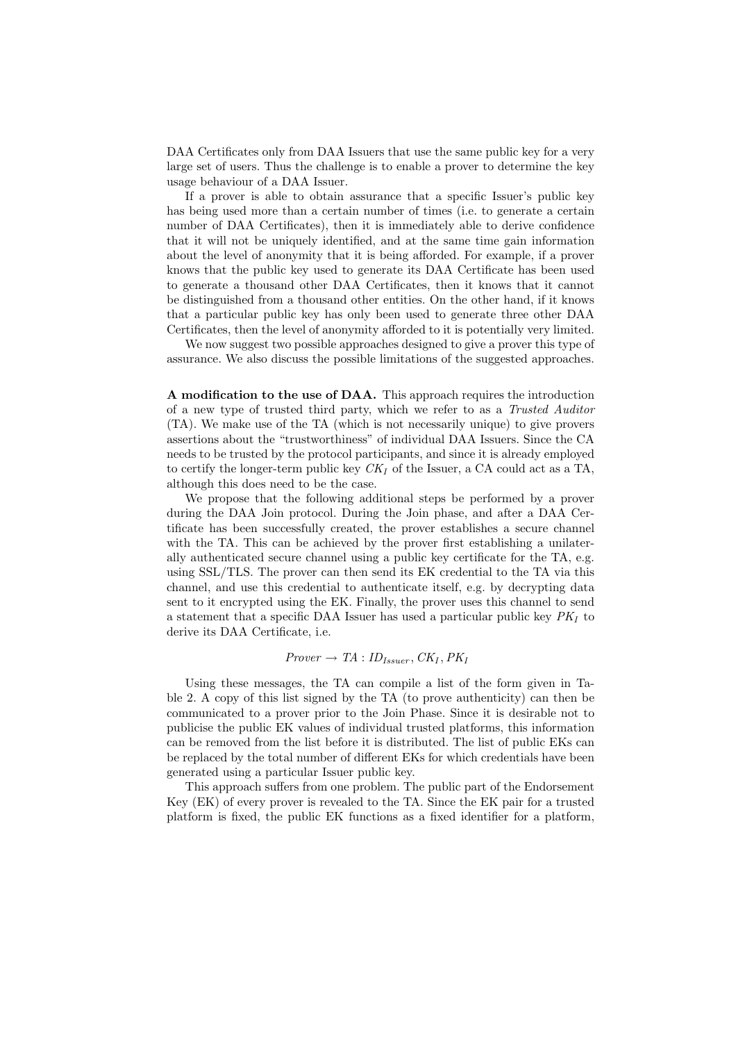DAA Certificates only from DAA Issuers that use the same public key for a very large set of users. Thus the challenge is to enable a prover to determine the key usage behaviour of a DAA Issuer.

If a prover is able to obtain assurance that a specific Issuer's public key has being used more than a certain number of times (i.e. to generate a certain number of DAA Certificates), then it is immediately able to derive confidence that it will not be uniquely identified, and at the same time gain information about the level of anonymity that it is being afforded. For example, if a prover knows that the public key used to generate its DAA Certificate has been used to generate a thousand other DAA Certificates, then it knows that it cannot be distinguished from a thousand other entities. On the other hand, if it knows that a particular public key has only been used to generate three other DAA Certificates, then the level of anonymity afforded to it is potentially very limited.

We now suggest two possible approaches designed to give a prover this type of assurance. We also discuss the possible limitations of the suggested approaches.

A modification to the use of DAA. This approach requires the introduction of a new type of trusted third party, which we refer to as a Trusted Auditor (TA). We make use of the TA (which is not necessarily unique) to give provers assertions about the "trustworthiness" of individual DAA Issuers. Since the CA needs to be trusted by the protocol participants, and since it is already employed to certify the longer-term public key  $CK_I$  of the Issuer, a CA could act as a TA, although this does need to be the case.

We propose that the following additional steps be performed by a prover during the DAA Join protocol. During the Join phase, and after a DAA Certificate has been successfully created, the prover establishes a secure channel with the TA. This can be achieved by the prover first establishing a unilaterally authenticated secure channel using a public key certificate for the TA, e.g. using SSL/TLS. The prover can then send its EK credential to the TA via this channel, and use this credential to authenticate itself, e.g. by decrypting data sent to it encrypted using the EK. Finally, the prover uses this channel to send a statement that a specific DAA Issuer has used a particular public key  $PK_I$  to derive its DAA Certificate, i.e.

## $Prover \rightarrow TA: ID_{Issuer}, CK_I, PK_I$

Using these messages, the TA can compile a list of the form given in Table 2. A copy of this list signed by the TA (to prove authenticity) can then be communicated to a prover prior to the Join Phase. Since it is desirable not to publicise the public EK values of individual trusted platforms, this information can be removed from the list before it is distributed. The list of public EKs can be replaced by the total number of different EKs for which credentials have been generated using a particular Issuer public key.

This approach suffers from one problem. The public part of the Endorsement Key (EK) of every prover is revealed to the TA. Since the EK pair for a trusted platform is fixed, the public EK functions as a fixed identifier for a platform,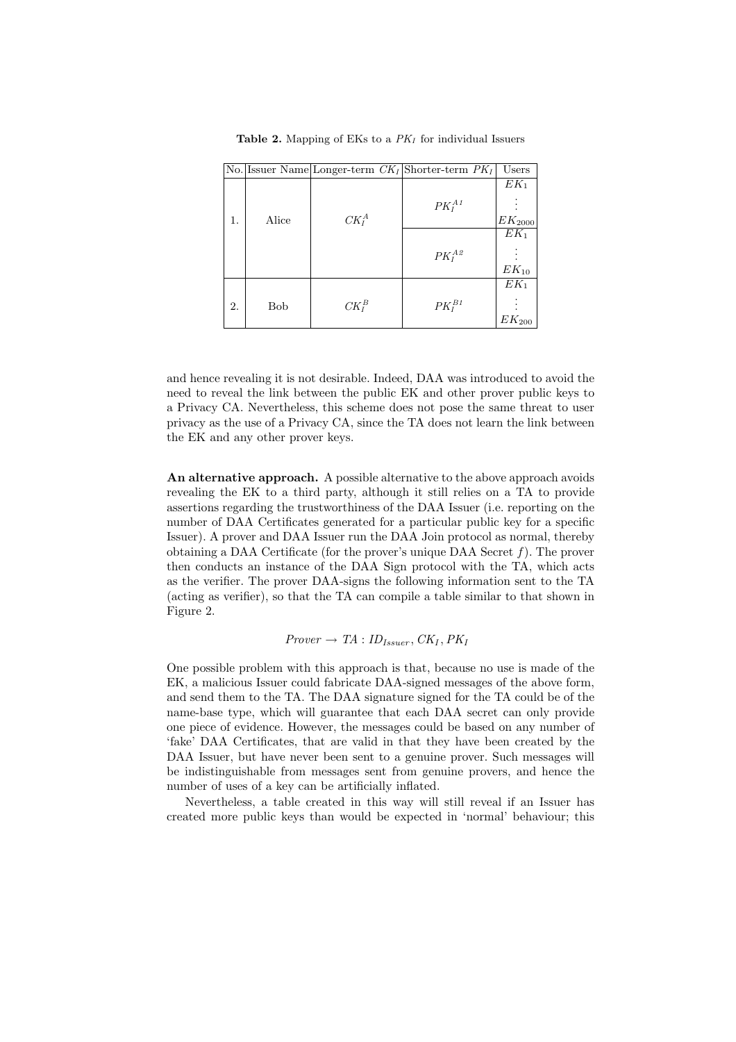|    |            |          | No. Issuer Name Longer-term $CK_I$ Shorter-term $PK_I$ | Users                        |
|----|------------|----------|--------------------------------------------------------|------------------------------|
| 1. | Alice      | $CK_I^A$ | $PK_I^{A1}$                                            | $EK_1$<br>EK <sub>2000</sub> |
|    |            |          | $PK_I^{A2}$                                            | $EK_1$<br>$EK_{10}$          |
| 2. | <b>Bob</b> | $CK_I^B$ | $PK_I^{B1}$                                            | $EK_1$<br>${\cal E}K_{200}$  |

Table 2. Mapping of EKs to a  $PK_I$  for individual Issuers

and hence revealing it is not desirable. Indeed, DAA was introduced to avoid the need to reveal the link between the public EK and other prover public keys to a Privacy CA. Nevertheless, this scheme does not pose the same threat to user privacy as the use of a Privacy CA, since the TA does not learn the link between the EK and any other prover keys.

An alternative approach. A possible alternative to the above approach avoids revealing the EK to a third party, although it still relies on a TA to provide assertions regarding the trustworthiness of the DAA Issuer (i.e. reporting on the number of DAA Certificates generated for a particular public key for a specific Issuer). A prover and DAA Issuer run the DAA Join protocol as normal, thereby obtaining a DAA Certificate (for the prover's unique DAA Secret  $f$ ). The prover then conducts an instance of the DAA Sign protocol with the TA, which acts as the verifier. The prover DAA-signs the following information sent to the TA (acting as verifier), so that the TA can compile a table similar to that shown in Figure 2.

$$
Prover \rightarrow TA: ID_{Issuer}, CK_I, PK_I
$$

One possible problem with this approach is that, because no use is made of the EK, a malicious Issuer could fabricate DAA-signed messages of the above form, and send them to the TA. The DAA signature signed for the TA could be of the name-base type, which will guarantee that each DAA secret can only provide one piece of evidence. However, the messages could be based on any number of 'fake' DAA Certificates, that are valid in that they have been created by the DAA Issuer, but have never been sent to a genuine prover. Such messages will be indistinguishable from messages sent from genuine provers, and hence the number of uses of a key can be artificially inflated.

Nevertheless, a table created in this way will still reveal if an Issuer has created more public keys than would be expected in 'normal' behaviour; this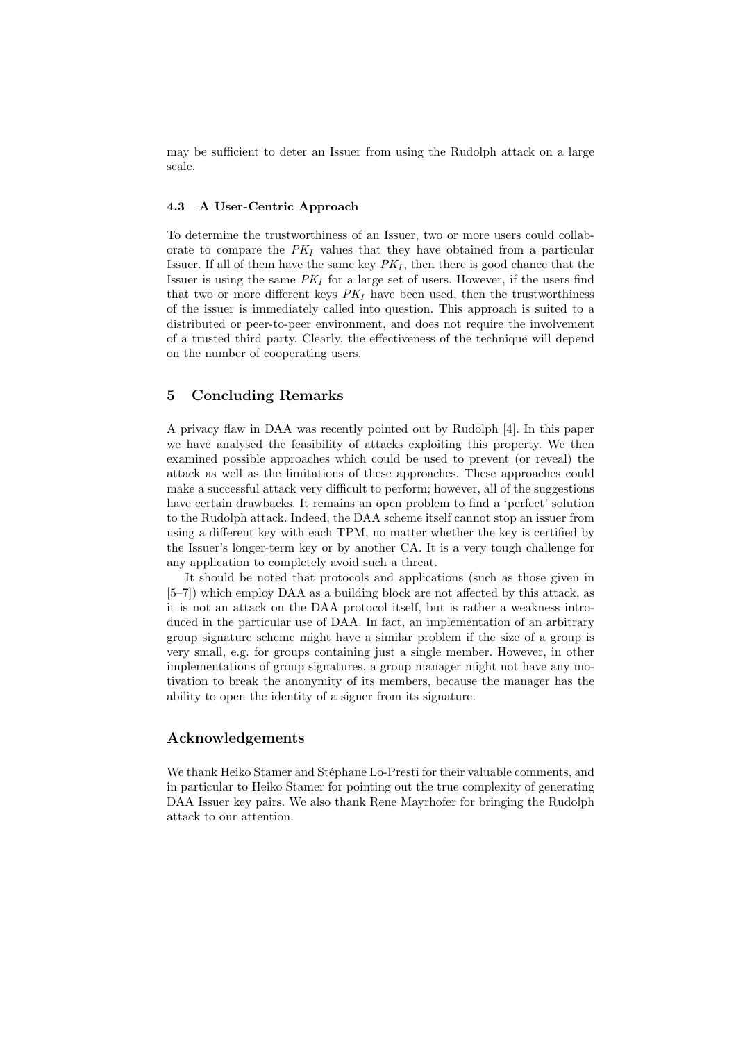may be sufficient to deter an Issuer from using the Rudolph attack on a large scale.

#### 4.3 A User-Centric Approach

To determine the trustworthiness of an Issuer, two or more users could collaborate to compare the  $PK_I$  values that they have obtained from a particular Issuer. If all of them have the same key  $PK_I$ , then there is good chance that the Issuer is using the same  $PK_I$  for a large set of users. However, if the users find that two or more different keys  $PK_I$  have been used, then the trustworthiness of the issuer is immediately called into question. This approach is suited to a distributed or peer-to-peer environment, and does not require the involvement of a trusted third party. Clearly, the effectiveness of the technique will depend on the number of cooperating users.

# 5 Concluding Remarks

A privacy flaw in DAA was recently pointed out by Rudolph [4]. In this paper we have analysed the feasibility of attacks exploiting this property. We then examined possible approaches which could be used to prevent (or reveal) the attack as well as the limitations of these approaches. These approaches could make a successful attack very difficult to perform; however, all of the suggestions have certain drawbacks. It remains an open problem to find a 'perfect' solution to the Rudolph attack. Indeed, the DAA scheme itself cannot stop an issuer from using a different key with each TPM, no matter whether the key is certified by the Issuer's longer-term key or by another CA. It is a very tough challenge for any application to completely avoid such a threat.

It should be noted that protocols and applications (such as those given in [5–7]) which employ DAA as a building block are not affected by this attack, as it is not an attack on the DAA protocol itself, but is rather a weakness introduced in the particular use of DAA. In fact, an implementation of an arbitrary group signature scheme might have a similar problem if the size of a group is very small, e.g. for groups containing just a single member. However, in other implementations of group signatures, a group manager might not have any motivation to break the anonymity of its members, because the manager has the ability to open the identity of a signer from its signature.

# Acknowledgements

We thank Heiko Stamer and Stéphane Lo-Presti for their valuable comments, and in particular to Heiko Stamer for pointing out the true complexity of generating DAA Issuer key pairs. We also thank Rene Mayrhofer for bringing the Rudolph attack to our attention.